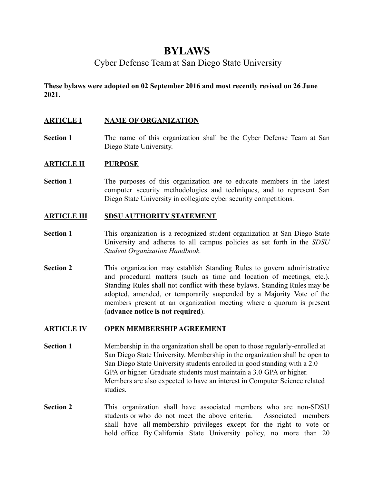# **BYLAWS**

# Cyber Defense Team at San Diego State University

**These bylaws were adopted on 02 September 2016 and most recently revised on 26 June 2021.**

# **ARTICLE I NAME OF ORGANIZATION**

**Section 1** The name of this organization shall be the Cyber Defense Team at San Diego State University.

# **ARTICLE II PURPOSE**

**Section 1** The purposes of this organization are to educate members in the latest computer security methodologies and techniques, and to represent San Diego State University in collegiate cyber security competitions.

# **ARTICLE III SDSU AUTHORITY STATEMENT**

- **Section 1** This organization is a recognized student organization at San Diego State University and adheres to all campus policies as set forth in the *SDSU Student Organization Handbook.*
- **Section 2** This organization may establish Standing Rules to govern administrative and procedural matters (such as time and location of meetings, etc.). Standing Rules shall not conflict with these bylaws. Standing Rules may be adopted, amended, or temporarily suspended by a Majority Vote of the members present at an organization meeting where a quorum is present (**advance notice is not required**).

# **ARTICLE IV OPEN MEMBERSHIP AGREEMENT**

- **Section 1** Membership in the organization shall be open to those regularly-enrolled at San Diego State University. Membership in the organization shall be open to San Diego State University students enrolled in good standing with a 2.0 GPA or higher. Graduate students must maintain a 3.0 GPA or higher. Members are also expected to have an interest in Computer Science related studies.
- **Section 2** This organization shall have associated members who are non-SDSU students or who do not meet the above criteria. Associated members shall have all membership privileges except for the right to vote or hold office. By California State University policy, no more than 20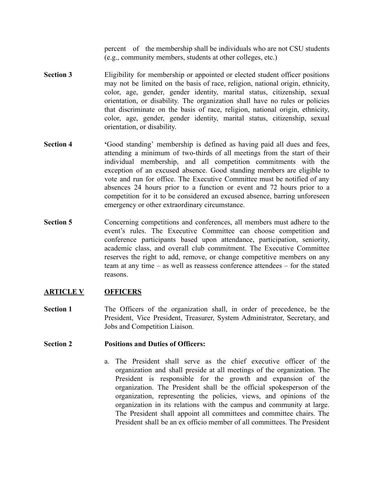percent of the membership shall be individuals who are not CSU students (e.g., community members, students at other colleges, etc.)

- **Section 3** Eligibility for membership or appointed or elected student officer positions may not be limited on the basis of race, religion, national origin, ethnicity, color, age, gender, gender identity, marital status, citizenship, sexual orientation, or disability. The organization shall have no rules or policies that discriminate on the basis of race, religion, national origin, ethnicity, color, age, gender, gender identity, marital status, citizenship, sexual orientation, or disability.
- **Section 4 '**Good standing' membership is defined as having paid all dues and fees, attending a minimum of two-thirds of all meetings from the start of their individual membership, and all competition commitments with the exception of an excused absence. Good standing members are eligible to vote and run for office. The Executive Committee must be notified of any absences 24 hours prior to a function or event and 72 hours prior to a competition for it to be considered an excused absence, barring unforeseen emergency or other extraordinary circumstance.
- **Section 5** Concerning competitions and conferences, all members must adhere to the event's rules. The Executive Committee can choose competition and conference participants based upon attendance, participation, seniority, academic class, and overall club commitment. The Executive Committee reserves the right to add, remove, or change competitive members on any team at any time – as well as reassess conference attendees – for the stated reasons.

# **ARTICLE V OFFICERS**

**Section 1** The Officers of the organization shall, in order of precedence, be the President, Vice President, Treasurer, System Administrator, Secretary, and Jobs and Competition Liaison.

#### **Section 2 Positions and Duties of Officers:**

a. The President shall serve as the chief executive officer of the organization and shall preside at all meetings of the organization. The President is responsible for the growth and expansion of the organization. The President shall be the official spokesperson of the organization, representing the policies, views, and opinions of the organization in its relations with the campus and community at large. The President shall appoint all committees and committee chairs. The President shall be an ex officio member of all committees. The President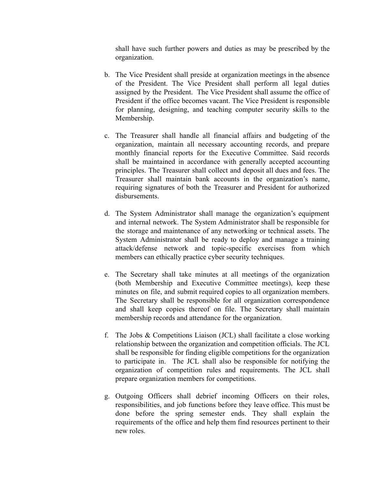shall have such further powers and duties as may be prescribed by the organization.

- b. The Vice President shall preside at organization meetings in the absence of the President. The Vice President shall perform all legal duties assigned by the President. The Vice President shall assume the office of President if the office becomes vacant. The Vice President is responsible for planning, designing, and teaching computer security skills to the Membership.
- c. The Treasurer shall handle all financial affairs and budgeting of the organization, maintain all necessary accounting records, and prepare monthly financial reports for the Executive Committee. Said records shall be maintained in accordance with generally accepted accounting principles. The Treasurer shall collect and deposit all dues and fees. The Treasurer shall maintain bank accounts in the organization's name, requiring signatures of both the Treasurer and President for authorized disbursements.
- d. The System Administrator shall manage the organization's equipment and internal network. The System Administrator shall be responsible for the storage and maintenance of any networking or technical assets. The System Administrator shall be ready to deploy and manage a training attack/defense network and topic-specific exercises from which members can ethically practice cyber security techniques.
- e. The Secretary shall take minutes at all meetings of the organization (both Membership and Executive Committee meetings), keep these minutes on file, and submit required copies to all organization members. The Secretary shall be responsible for all organization correspondence and shall keep copies thereof on file. The Secretary shall maintain membership records and attendance for the organization.
- f. The Jobs & Competitions Liaison (JCL) shall facilitate a close working relationship between the organization and competition officials. The JCL shall be responsible for finding eligible competitions for the organization to participate in. The JCL shall also be responsible for notifying the organization of competition rules and requirements. The JCL shall prepare organization members for competitions.
- g. Outgoing Officers shall debrief incoming Officers on their roles, responsibilities, and job functions before they leave office. This must be done before the spring semester ends. They shall explain the requirements of the office and help them find resources pertinent to their new roles.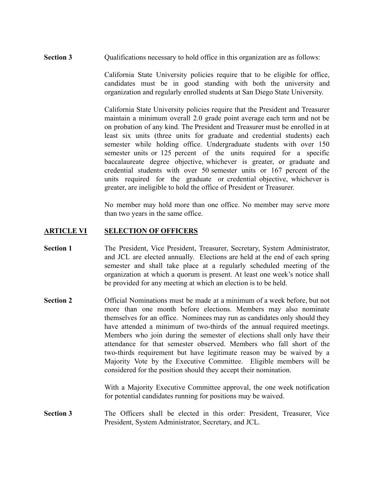**Section 3** Qualifications necessary to hold office in this organization are as follows:

California State University policies require that to be eligible for office, candidates must be in good standing with both the university and organization and regularly enrolled students at San Diego State University.

California State University policies require that the President and Treasurer maintain a minimum overall 2.0 grade point average each term and not be on probation of any kind. The President and Treasurer must be enrolled in at least six units (three units for graduate and credential students) each semester while holding office. Undergraduate students with over 150 semester units or 125 percent of the units required for a specific baccalaureate degree objective, whichever is greater, or graduate and credential students with over 50 semester units or 167 percent of the units required for the graduate or credential objective, whichever is greater, are ineligible to hold the office of President or Treasurer.

No member may hold more than one office. No member may serve more than two years in the same office.

### **ARTICLE VI SELECTION OF OFFICERS**

- **Section 1** The President, Vice President, Treasurer, Secretary, System Administrator, and JCL are elected annually. Elections are held at the end of each spring semester and shall take place at a regularly scheduled meeting of the organization at which a quorum is present. At least one week's notice shall be provided for any meeting at which an election is to be held.
- **Section 2** Official Nominations must be made at a minimum of a week before, but not more than one month before elections. Members may also nominate themselves for an office. Nominees may run as candidates only should they have attended a minimum of two-thirds of the annual required meetings. Members who join during the semester of elections shall only have their attendance for that semester observed. Members who fall short of the two-thirds requirement but have legitimate reason may be waived by a Majority Vote by the Executive Committee. Eligible members will be considered for the position should they accept their nomination.

With a Majority Executive Committee approval, the one week notification for potential candidates running for positions may be waived.

**Section 3** The Officers shall be elected in this order: President, Treasurer, Vice President, System Administrator, Secretary, and JCL.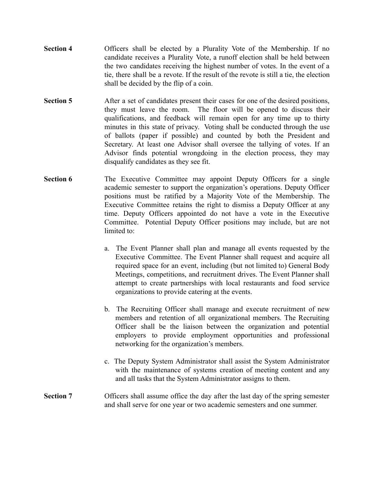- **Section 4** Officers shall be elected by a Plurality Vote of the Membership. If no candidate receives a Plurality Vote, a runoff election shall be held between the two candidates receiving the highest number of votes. In the event of a tie, there shall be a revote. If the result of the revote is still a tie, the election shall be decided by the flip of a coin.
- **Section 5** After a set of candidates present their cases for one of the desired positions, they must leave the room. The floor will be opened to discuss their qualifications, and feedback will remain open for any time up to thirty minutes in this state of privacy. Voting shall be conducted through the use of ballots (paper if possible) and counted by both the President and Secretary. At least one Advisor shall oversee the tallying of votes. If an Advisor finds potential wrongdoing in the election process, they may disqualify candidates as they see fit.
- **Section 6** The Executive Committee may appoint Deputy Officers for a single academic semester to support the organization's operations. Deputy Officer positions must be ratified by a Majority Vote of the Membership. The Executive Committee retains the right to dismiss a Deputy Officer at any time. Deputy Officers appointed do not have a vote in the Executive Committee. Potential Deputy Officer positions may include, but are not limited to:
	- a. The Event Planner shall plan and manage all events requested by the Executive Committee. The Event Planner shall request and acquire all required space for an event, including (but not limited to) General Body Meetings, competitions, and recruitment drives. The Event Planner shall attempt to create partnerships with local restaurants and food service organizations to provide catering at the events.
	- b. The Recruiting Officer shall manage and execute recruitment of new members and retention of all organizational members. The Recruiting Officer shall be the liaison between the organization and potential employers to provide employment opportunities and professional networking for the organization's members.
	- c. The Deputy System Administrator shall assist the System Administrator with the maintenance of systems creation of meeting content and any and all tasks that the System Administrator assigns to them.

#### **Section 7** Officers shall assume office the day after the last day of the spring semester and shall serve for one year or two academic semesters and one summer.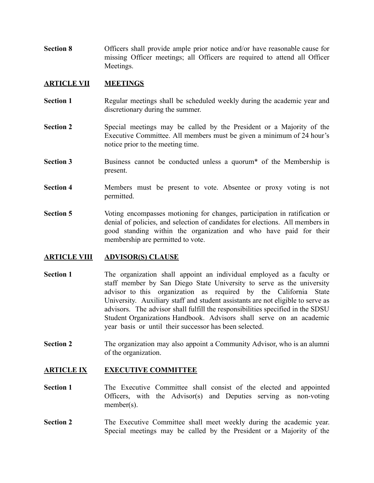**Section 8** Officers shall provide ample prior notice and/or have reasonable cause for missing Officer meetings; all Officers are required to attend all Officer Meetings.

# **ARTICLE VII MEETINGS**

- **Section 1** Regular meetings shall be scheduled weekly during the academic year and discretionary during the summer.
- **Section 2** Special meetings may be called by the President or a Majority of the Executive Committee. All members must be given a minimum of 24 hour's notice prior to the meeting time.
- **Section 3** Business cannot be conducted unless a quorum<sup>\*</sup> of the Membership is present.
- **Section 4** Members must be present to vote. Absentee or proxy voting is not permitted.
- **Section 5** Voting encompasses motioning for changes, participation in ratification or denial of policies, and selection of candidates for elections. All members in good standing within the organization and who have paid for their membership are permitted to vote.

# **ARTICLE VIII ADVISOR(S) CLAUSE**

- **Section 1** The organization shall appoint an individual employed as a faculty or staff member by San Diego State University to serve as the university advisor to this organization as required by the California State University. Auxiliary staff and student assistants are not eligible to serve as advisors. The advisor shall fulfill the responsibilities specified in the SDSU Student Organizations Handbook. Advisors shall serve on an academic year basis or until their successor has been selected.
- **Section 2** The organization may also appoint a Community Advisor, who is an alumni of the organization.

# **ARTICLE IX EXECUTIVE COMMITTEE**

- **Section 1** The Executive Committee shall consist of the elected and appointed Officers, with the Advisor(s) and Deputies serving as non-voting member(s).
- **Section 2** The Executive Committee shall meet weekly during the academic year. Special meetings may be called by the President or a Majority of the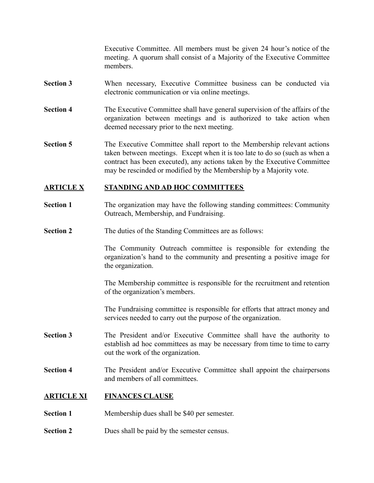Executive Committee. All members must be given 24 hour's notice of the meeting. A quorum shall consist of a Majority of the Executive Committee members.

- **Section 3** When necessary, Executive Committee business can be conducted via electronic communication or via online meetings.
- **Section 4** The Executive Committee shall have general supervision of the affairs of the organization between meetings and is authorized to take action when deemed necessary prior to the next meeting.
- **Section 5** The Executive Committee shall report to the Membership relevant actions taken between meetings. Except when it is too late to do so (such as when a contract has been executed), any actions taken by the Executive Committee may be rescinded or modified by the Membership by a Majority vote.

#### **ARTICLE X STANDING AND AD HOC COMMITTEES**

- **Section 1** The organization may have the following standing committees: Community Outreach, Membership, and Fundraising.
- **Section 2** The duties of the Standing Committees are as follows:

The Community Outreach committee is responsible for extending the organization's hand to the community and presenting a positive image for the organization.

The Membership committee is responsible for the recruitment and retention of the organization's members.

The Fundraising committee is responsible for efforts that attract money and services needed to carry out the purpose of the organization.

- **Section 3** The President and/or Executive Committee shall have the authority to establish ad hoc committees as may be necessary from time to time to carry out the work of the organization.
- **Section 4** The President and/or Executive Committee shall appoint the chairpersons and members of all committees.

#### **ARTICLE XI FINANCES CLAUSE**

- **Section 1** Membership dues shall be \$40 per semester.
- **Section 2** Dues shall be paid by the semester census.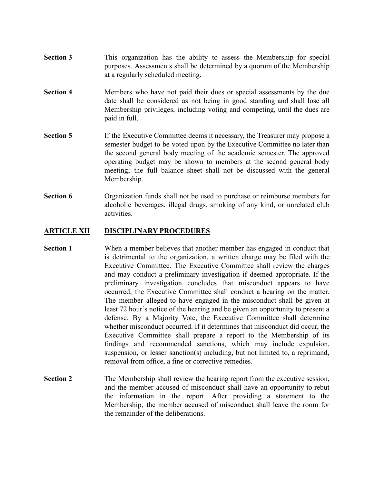- **Section 3** This organization has the ability to assess the Membership for special purposes. Assessments shall be determined by a quorum of the Membership at a regularly scheduled meeting.
- **Section 4** Members who have not paid their dues or special assessments by the due date shall be considered as not being in good standing and shall lose all Membership privileges, including voting and competing, until the dues are paid in full.
- **Section 5** If the Executive Committee deems it necessary, the Treasurer may propose a semester budget to be voted upon by the Executive Committee no later than the second general body meeting of the academic semester. The approved operating budget may be shown to members at the second general body meeting; the full balance sheet shall not be discussed with the general Membership.
- **Section 6** Organization funds shall not be used to purchase or reimburse members for alcoholic beverages, illegal drugs, smoking of any kind, or unrelated club activities.

#### **ARTICLE XII DISCIPLINARY PROCEDURES**

- **Section 1** When a member believes that another member has engaged in conduct that is detrimental to the organization, a written charge may be filed with the Executive Committee. The Executive Committee shall review the charges and may conduct a preliminary investigation if deemed appropriate. If the preliminary investigation concludes that misconduct appears to have occurred, the Executive Committee shall conduct a hearing on the matter. The member alleged to have engaged in the misconduct shall be given at least 72 hour's notice of the hearing and be given an opportunity to present a defense. By a Majority Vote, the Executive Committee shall determine whether misconduct occurred. If it determines that misconduct did occur, the Executive Committee shall prepare a report to the Membership of its findings and recommended sanctions, which may include expulsion, suspension, or lesser sanction(s) including, but not limited to, a reprimand, removal from office, a fine or corrective remedies.
- **Section 2** The Membership shall review the hearing report from the executive session, and the member accused of misconduct shall have an opportunity to rebut the information in the report. After providing a statement to the Membership, the member accused of misconduct shall leave the room for the remainder of the deliberations.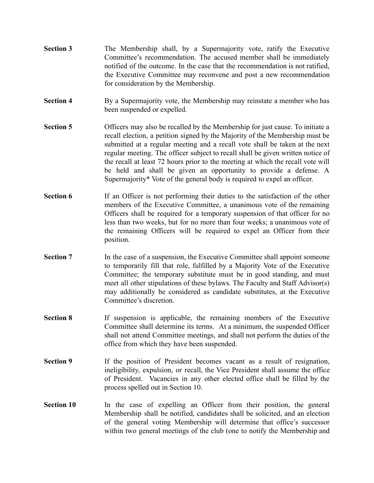- **Section 3** The Membership shall, by a Supermajority vote, ratify the Executive Committee's recommendation. The accused member shall be immediately notified of the outcome. In the case that the recommendation is not ratified, the Executive Committee may reconvene and post a new recommendation for consideration by the Membership.
- **Section 4** By a Supermajority vote, the Membership may reinstate a member who has been suspended or expelled.
- **Section 5** Officers may also be recalled by the Membership for just cause. To initiate a recall election, a petition signed by the Majority of the Membership must be submitted at a regular meeting and a recall vote shall be taken at the next regular meeting. The officer subject to recall shall be given written notice of the recall at least 72 hours prior to the meeting at which the recall vote will be held and shall be given an opportunity to provide a defense. A Supermajority\* Vote of the general body is required to expel an officer.
- **Section 6** If an Officer is not performing their duties to the satisfaction of the other members of the Executive Committee, a unanimous vote of the remaining Officers shall be required for a temporary suspension of that officer for no less than two weeks, but for no more than four weeks; a unanimous vote of the remaining Officers will be required to expel an Officer from their position.
- **Section 7** In the case of a suspension, the Executive Committee shall appoint someone to temporarily fill that role, fulfilled by a Majority Vote of the Executive Committee; the temporary substitute must be in good standing, and must meet all other stipulations of these bylaws. The Faculty and Staff Advisor(s) may additionally be considered as candidate substitutes, at the Executive Committee's discretion.
- **Section 8** If suspension is applicable, the remaining members of the Executive Committee shall determine its terms. At a minimum, the suspended Officer shall not attend Committee meetings, and shall not perform the duties of the office from which they have been suspended.
- **Section 9** If the position of President becomes vacant as a result of resignation, ineligibility, expulsion, or recall, the Vice President shall assume the office of President. Vacancies in any other elected office shall be filled by the process spelled out in Section 10.
- **Section 10** In the case of expelling an Officer from their position, the general Membership shall be notified, candidates shall be solicited, and an election of the general voting Membership will determine that office's successor within two general meetings of the club (one to notify the Membership and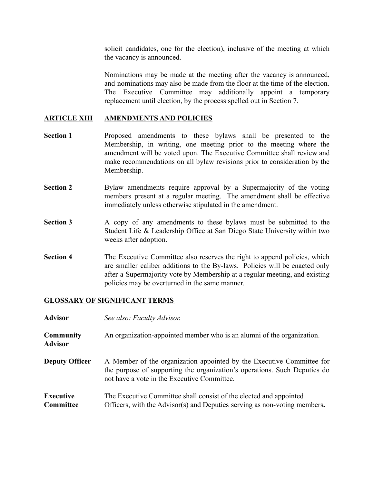solicit candidates, one for the election), inclusive of the meeting at which the vacancy is announced.

Nominations may be made at the meeting after the vacancy is announced, and nominations may also be made from the floor at the time of the election. The Executive Committee may additionally appoint a temporary replacement until election, by the process spelled out in Section 7.

#### **ARTICLE XIII AMENDMENTS AND POLICIES**

- **Section 1** Proposed amendments to these bylaws shall be presented to the Membership, in writing, one meeting prior to the meeting where the amendment will be voted upon. The Executive Committee shall review and make recommendations on all bylaw revisions prior to consideration by the Membership.
- **Section 2** Bylaw amendments require approval by a Supermajority of the voting members present at a regular meeting. The amendment shall be effective immediately unless otherwise stipulated in the amendment.
- **Section 3** A copy of any amendments to these bylaws must be submitted to the Student Life & Leadership Office at San Diego State University within two weeks after adoption.
- **Section 4** The Executive Committee also reserves the right to append policies, which are smaller caliber additions to the By-laws. Policies will be enacted only after a Supermajority vote by Membership at a regular meeting, and existing policies may be overturned in the same manner.

#### **GLOSSARY OF SIGNIFICANT TERMS**

| Advisor                | See also: Faculty Advisor.                                                                                                                                                                        |
|------------------------|---------------------------------------------------------------------------------------------------------------------------------------------------------------------------------------------------|
| Community<br>Advisor   | An organization-appointed member who is an alumni of the organization.                                                                                                                            |
| <b>Deputy Officer</b>  | A Member of the organization appointed by the Executive Committee for<br>the purpose of supporting the organization's operations. Such Deputies do<br>not have a vote in the Executive Committee. |
| Executive<br>Committee | The Executive Committee shall consist of the elected and appointed<br>Officers, with the Advisor(s) and Deputies serving as non-voting members.                                                   |